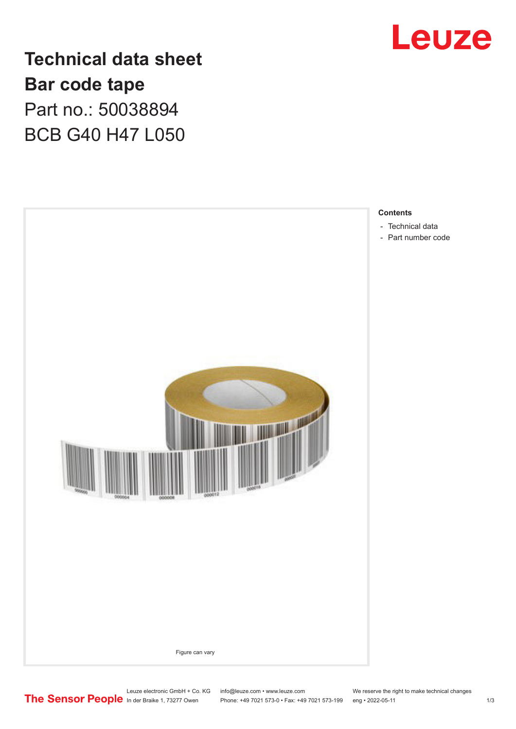

**Technical data sheet Bar code tape** Part no.: 50038894 BCB G40 H47 L050



Leuze electronic GmbH + Co. KG info@leuze.com • www.leuze.com We reserve the right to make technical changes<br>
The Sensor People in der Braike 1, 73277 Owen Phone: +49 7021 573-0 • Fax: +49 7021 573-199 eng • 2022-05-11

Phone: +49 7021 573-0 • Fax: +49 7021 573-199 eng • 2022-05-11 1 2022-05-11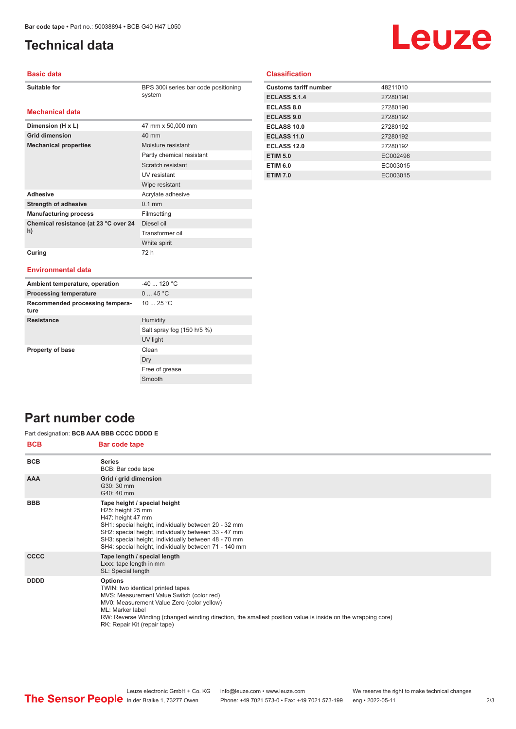**Dimension (H x L)** 47 mm x 50,000 mm

**Mechanical properties** Moisture resistant

Adhesive **Adhesive** Acrylate adhesive **Strength of adhesive** 0.1 mm **Manufacturing process** Filmsetting

**Grid dimension** 40 mm

**Chemical resistance (at 23 °C over 24** 

## <span id="page-1-0"></span>**Technical data**

# Leuze

#### **Basic data**

| Suitable for |
|--------------|
|--------------|

**Mechanical data**

BPS 300i series bar code positioning system

Partly chemical resistant Scratch resistant UV resistant Wipe resistant

Diesel oil Transformer oil White spirit

### **Classification**

| <b>Customs tariff number</b> | 48211010 |
|------------------------------|----------|
| <b>ECLASS 5.1.4</b>          | 27280190 |
| <b>ECLASS 8.0</b>            | 27280190 |
| <b>ECLASS 9.0</b>            | 27280192 |
| ECLASS 10.0                  | 27280192 |
| ECLASS 11.0                  | 27280192 |
| ECLASS 12.0                  | 27280192 |
| <b>ETIM 5.0</b>              | EC002498 |
| <b>ETIM 6.0</b>              | EC003015 |
| <b>ETIM 7.0</b>              | EC003015 |

#### **Curing** 72 h

**h)**

#### **Environmental data**

| Ambient temperature, operation          | $-40$ 120 °C               |
|-----------------------------------------|----------------------------|
| <b>Processing temperature</b>           | 045 °C                     |
| Recommended processing tempera-<br>ture | 10 $25 °C$                 |
| <b>Resistance</b>                       | Humidity                   |
|                                         | Salt spray fog (150 h/5 %) |
|                                         | UV light                   |
| <b>Property of base</b>                 | Clean                      |
|                                         | Dry                        |
|                                         | Free of grease             |
|                                         | Smooth                     |

## **Part number code**

#### Part designation: **BCB AAA BBB CCCC DDDD E**

| <b>BCB</b>  | <b>Bar code tape</b>                                                                                                                                                                                                                                                                                              |
|-------------|-------------------------------------------------------------------------------------------------------------------------------------------------------------------------------------------------------------------------------------------------------------------------------------------------------------------|
| <b>BCB</b>  | <b>Series</b><br>BCB: Bar code tape                                                                                                                                                                                                                                                                               |
| <b>AAA</b>  | Grid / grid dimension<br>G30: 30 mm<br>G40: 40 mm                                                                                                                                                                                                                                                                 |
| <b>BBB</b>  | Tape height / special height<br>H25: height 25 mm<br>H47: height 47 mm<br>SH1: special height, individually between 20 - 32 mm<br>SH2: special height, individually between 33 - 47 mm<br>SH3: special height, individually between 48 - 70 mm<br>SH4: special height, individually between 71 - 140 mm           |
| <b>CCCC</b> | Tape length / special length<br>Lxxx: tape length in mm<br>SL: Special length                                                                                                                                                                                                                                     |
| <b>DDDD</b> | <b>Options</b><br>TWIN: two identical printed tapes<br>MVS: Measurement Value Switch (color red)<br>MV0: Measurement Value Zero (color yellow)<br>ML: Marker label<br>RW: Reverse Winding (changed winding direction, the smallest position value is inside on the wrapping core)<br>RK: Repair Kit (repair tape) |